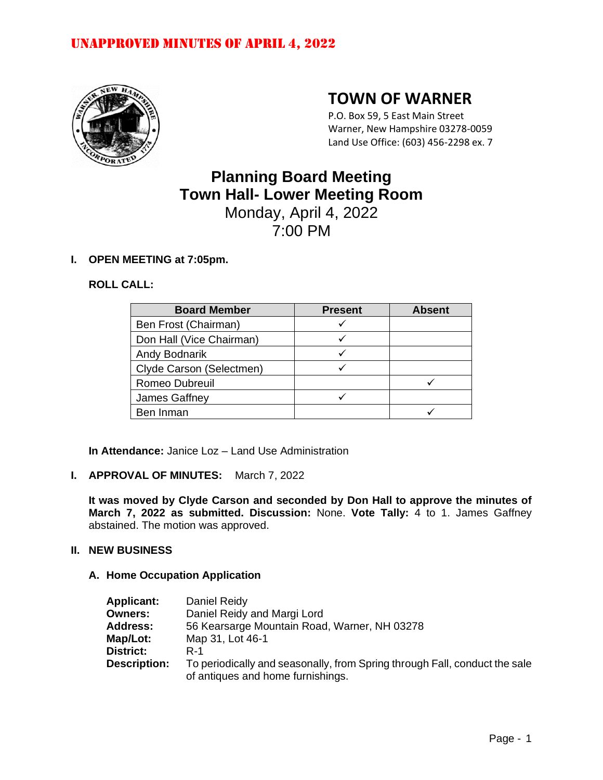

# **TOWN OF WARNER**

P.O. Box 59, 5 East Main Street Warner, New Hampshire 03278-0059 Land Use Office: (603) 456-2298 ex. 7

# **Planning Board Meeting Town Hall- Lower Meeting Room** Monday, April 4, 2022

7:00 PM

### **I. OPEN MEETING at 7:05pm.**

### **ROLL CALL:**

| <b>Board Member</b>      | <b>Present</b> | <b>Absent</b> |
|--------------------------|----------------|---------------|
| Ben Frost (Chairman)     |                |               |
| Don Hall (Vice Chairman) |                |               |
| <b>Andy Bodnarik</b>     |                |               |
| Clyde Carson (Selectmen) |                |               |
| Romeo Dubreuil           |                |               |
| James Gaffney            |                |               |
| Ben Inman                |                |               |

**In Attendance:** Janice Loz – Land Use Administration

### **I. APPROVAL OF MINUTES:** March 7, 2022

**It was moved by Clyde Carson and seconded by Don Hall to approve the minutes of March 7, 2022 as submitted. Discussion:** None. **Vote Tally:** 4 to 1. James Gaffney abstained. The motion was approved.

#### **II. NEW BUSINESS**

### **A. Home Occupation Application**

| <b>Applicant:</b>   | Daniel Reidy                                                                                                    |
|---------------------|-----------------------------------------------------------------------------------------------------------------|
| <b>Owners:</b>      | Daniel Reidy and Margi Lord                                                                                     |
| <b>Address:</b>     | 56 Kearsarge Mountain Road, Warner, NH 03278                                                                    |
| Map/Lot:            | Map 31, Lot 46-1                                                                                                |
| District:           | $R-1$                                                                                                           |
| <b>Description:</b> | To periodically and seasonally, from Spring through Fall, conduct the sale<br>of antiques and home furnishings. |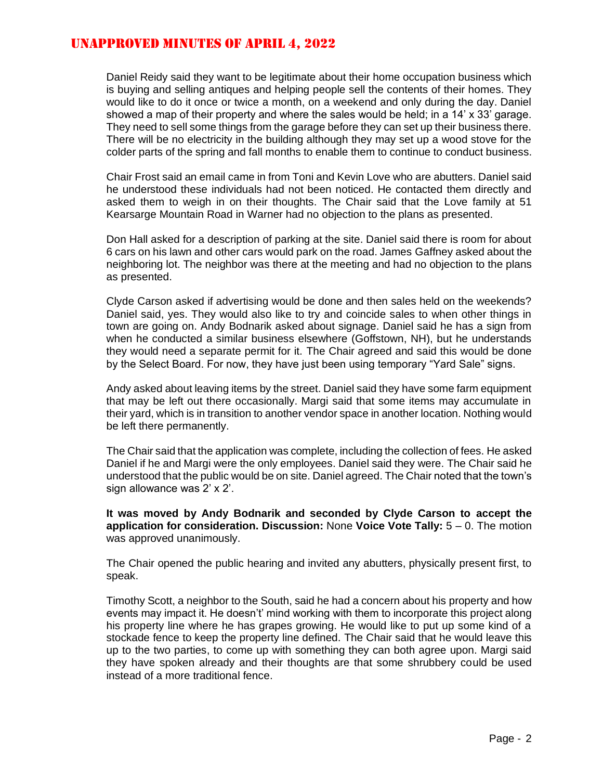Daniel Reidy said they want to be legitimate about their home occupation business which is buying and selling antiques and helping people sell the contents of their homes. They would like to do it once or twice a month, on a weekend and only during the day. Daniel showed a map of their property and where the sales would be held; in a 14' x 33' garage. They need to sell some things from the garage before they can set up their business there. There will be no electricity in the building although they may set up a wood stove for the colder parts of the spring and fall months to enable them to continue to conduct business.

Chair Frost said an email came in from Toni and Kevin Love who are abutters. Daniel said he understood these individuals had not been noticed. He contacted them directly and asked them to weigh in on their thoughts. The Chair said that the Love family at 51 Kearsarge Mountain Road in Warner had no objection to the plans as presented.

Don Hall asked for a description of parking at the site. Daniel said there is room for about 6 cars on his lawn and other cars would park on the road. James Gaffney asked about the neighboring lot. The neighbor was there at the meeting and had no objection to the plans as presented.

Clyde Carson asked if advertising would be done and then sales held on the weekends? Daniel said, yes. They would also like to try and coincide sales to when other things in town are going on. Andy Bodnarik asked about signage. Daniel said he has a sign from when he conducted a similar business elsewhere (Goffstown, NH), but he understands they would need a separate permit for it. The Chair agreed and said this would be done by the Select Board. For now, they have just been using temporary "Yard Sale" signs.

Andy asked about leaving items by the street. Daniel said they have some farm equipment that may be left out there occasionally. Margi said that some items may accumulate in their yard, which is in transition to another vendor space in another location. Nothing would be left there permanently.

The Chair said that the application was complete, including the collection of fees. He asked Daniel if he and Margi were the only employees. Daniel said they were. The Chair said he understood that the public would be on site. Daniel agreed. The Chair noted that the town's sign allowance was 2' x 2'.

**It was moved by Andy Bodnarik and seconded by Clyde Carson to accept the application for consideration. Discussion:** None **Voice Vote Tally:** 5 – 0. The motion was approved unanimously.

The Chair opened the public hearing and invited any abutters, physically present first, to speak.

Timothy Scott, a neighbor to the South, said he had a concern about his property and how events may impact it. He doesn't' mind working with them to incorporate this project along his property line where he has grapes growing. He would like to put up some kind of a stockade fence to keep the property line defined. The Chair said that he would leave this up to the two parties, to come up with something they can both agree upon. Margi said they have spoken already and their thoughts are that some shrubbery could be used instead of a more traditional fence.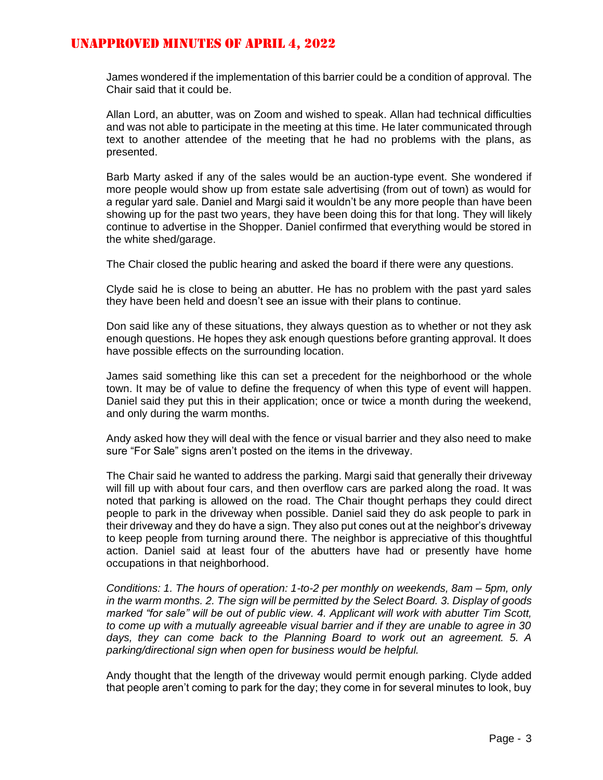James wondered if the implementation of this barrier could be a condition of approval. The Chair said that it could be.

Allan Lord, an abutter, was on Zoom and wished to speak. Allan had technical difficulties and was not able to participate in the meeting at this time. He later communicated through text to another attendee of the meeting that he had no problems with the plans, as presented.

Barb Marty asked if any of the sales would be an auction-type event. She wondered if more people would show up from estate sale advertising (from out of town) as would for a regular yard sale. Daniel and Margi said it wouldn't be any more people than have been showing up for the past two years, they have been doing this for that long. They will likely continue to advertise in the Shopper. Daniel confirmed that everything would be stored in the white shed/garage.

The Chair closed the public hearing and asked the board if there were any questions.

Clyde said he is close to being an abutter. He has no problem with the past yard sales they have been held and doesn't see an issue with their plans to continue.

Don said like any of these situations, they always question as to whether or not they ask enough questions. He hopes they ask enough questions before granting approval. It does have possible effects on the surrounding location.

James said something like this can set a precedent for the neighborhood or the whole town. It may be of value to define the frequency of when this type of event will happen. Daniel said they put this in their application; once or twice a month during the weekend, and only during the warm months.

Andy asked how they will deal with the fence or visual barrier and they also need to make sure "For Sale" signs aren't posted on the items in the driveway.

The Chair said he wanted to address the parking. Margi said that generally their driveway will fill up with about four cars, and then overflow cars are parked along the road. It was noted that parking is allowed on the road. The Chair thought perhaps they could direct people to park in the driveway when possible. Daniel said they do ask people to park in their driveway and they do have a sign. They also put cones out at the neighbor's driveway to keep people from turning around there. The neighbor is appreciative of this thoughtful action. Daniel said at least four of the abutters have had or presently have home occupations in that neighborhood.

*Conditions: 1. The hours of operation: 1-to-2 per monthly on weekends, 8am – 5pm, only in the warm months. 2. The sign will be permitted by the Select Board. 3. Display of goods marked "for sale" will be out of public view. 4. Applicant will work with abutter Tim Scott, to come up with a mutually agreeable visual barrier and if they are unable to agree in 30 days, they can come back to the Planning Board to work out an agreement. 5. A parking/directional sign when open for business would be helpful.* 

Andy thought that the length of the driveway would permit enough parking. Clyde added that people aren't coming to park for the day; they come in for several minutes to look, buy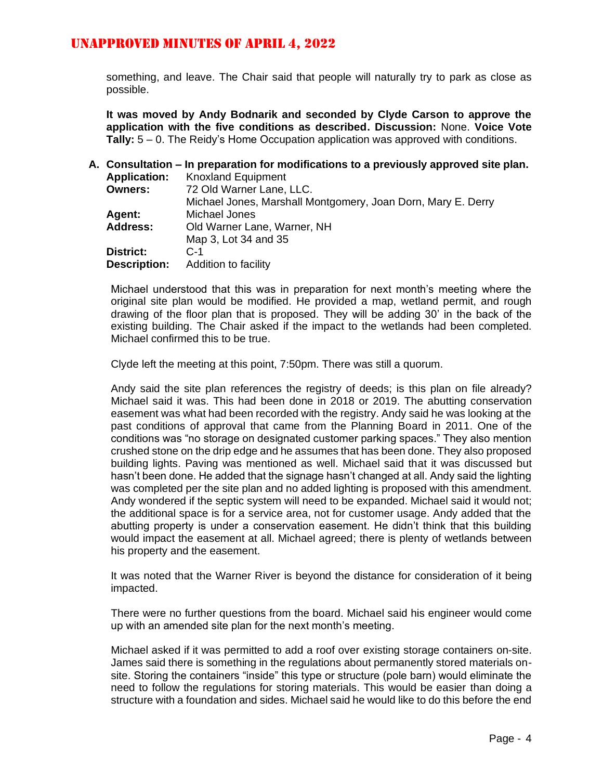something, and leave. The Chair said that people will naturally try to park as close as possible.

**It was moved by Andy Bodnarik and seconded by Clyde Carson to approve the application with the five conditions as described. Discussion:** None. **Voice Vote Tally:** 5 – 0. The Reidy's Home Occupation application was approved with conditions.

|                     | A. Consultation – In preparation for modifications to a previously approved site plan. |
|---------------------|----------------------------------------------------------------------------------------|
| <b>Application:</b> | <b>Knoxland Equipment</b>                                                              |
| <b>Owners:</b>      | 72 Old Warner Lane, LLC.                                                               |
|                     | Michael Jones, Marshall Montgomery, Joan Dorn, Mary E. Derry                           |
| <b>Agent:</b>       | Michael Jones                                                                          |
| <b>Address:</b>     | Old Warner Lane, Warner, NH                                                            |
|                     | Map 3, Lot 34 and 35                                                                   |
| <b>District:</b>    | $C - 1$                                                                                |
| <b>Description:</b> | Addition to facility                                                                   |

Michael understood that this was in preparation for next month's meeting where the original site plan would be modified. He provided a map, wetland permit, and rough drawing of the floor plan that is proposed. They will be adding 30' in the back of the existing building. The Chair asked if the impact to the wetlands had been completed. Michael confirmed this to be true.

Clyde left the meeting at this point, 7:50pm. There was still a quorum.

Andy said the site plan references the registry of deeds; is this plan on file already? Michael said it was. This had been done in 2018 or 2019. The abutting conservation easement was what had been recorded with the registry. Andy said he was looking at the past conditions of approval that came from the Planning Board in 2011. One of the conditions was "no storage on designated customer parking spaces." They also mention crushed stone on the drip edge and he assumes that has been done. They also proposed building lights. Paving was mentioned as well. Michael said that it was discussed but hasn't been done. He added that the signage hasn't changed at all. Andy said the lighting was completed per the site plan and no added lighting is proposed with this amendment. Andy wondered if the septic system will need to be expanded. Michael said it would not; the additional space is for a service area, not for customer usage. Andy added that the abutting property is under a conservation easement. He didn't think that this building would impact the easement at all. Michael agreed; there is plenty of wetlands between his property and the easement.

It was noted that the Warner River is beyond the distance for consideration of it being impacted.

There were no further questions from the board. Michael said his engineer would come up with an amended site plan for the next month's meeting.

Michael asked if it was permitted to add a roof over existing storage containers on-site. James said there is something in the regulations about permanently stored materials onsite. Storing the containers "inside" this type or structure (pole barn) would eliminate the need to follow the regulations for storing materials. This would be easier than doing a structure with a foundation and sides. Michael said he would like to do this before the end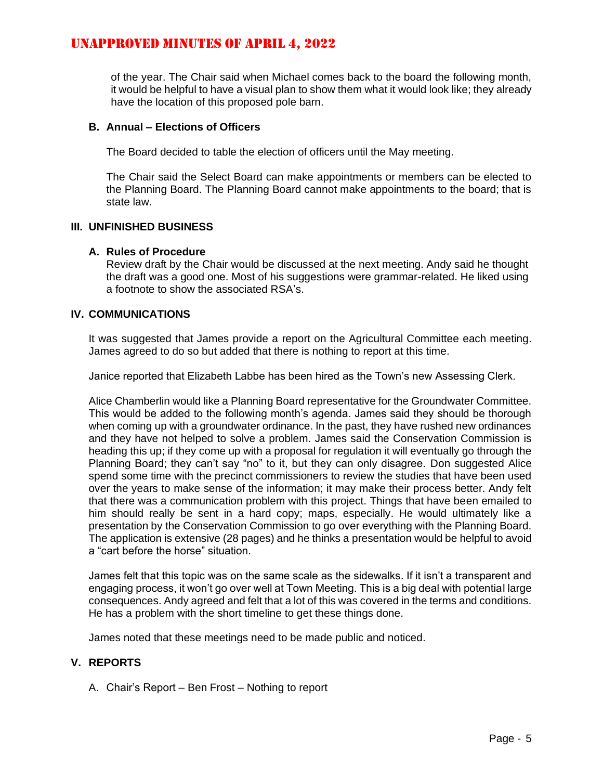of the year. The Chair said when Michael comes back to the board the following month, it would be helpful to have a visual plan to show them what it would look like; they already have the location of this proposed pole barn.

#### **B. Annual – Elections of Officers**

The Board decided to table the election of officers until the May meeting.

The Chair said the Select Board can make appointments or members can be elected to the Planning Board. The Planning Board cannot make appointments to the board; that is state law.

#### **III. UNFINISHED BUSINESS**

#### **A. Rules of Procedure**

Review draft by the Chair would be discussed at the next meeting. Andy said he thought the draft was a good one. Most of his suggestions were grammar-related. He liked using a footnote to show the associated RSA's.

#### **IV. COMMUNICATIONS**

It was suggested that James provide a report on the Agricultural Committee each meeting. James agreed to do so but added that there is nothing to report at this time.

Janice reported that Elizabeth Labbe has been hired as the Town's new Assessing Clerk.

Alice Chamberlin would like a Planning Board representative for the Groundwater Committee. This would be added to the following month's agenda. James said they should be thorough when coming up with a groundwater ordinance. In the past, they have rushed new ordinances and they have not helped to solve a problem. James said the Conservation Commission is heading this up; if they come up with a proposal for regulation it will eventually go through the Planning Board; they can't say "no" to it, but they can only disagree. Don suggested Alice spend some time with the precinct commissioners to review the studies that have been used over the years to make sense of the information; it may make their process better. Andy felt that there was a communication problem with this project. Things that have been emailed to him should really be sent in a hard copy; maps, especially. He would ultimately like a presentation by the Conservation Commission to go over everything with the Planning Board. The application is extensive (28 pages) and he thinks a presentation would be helpful to avoid a "cart before the horse" situation.

James felt that this topic was on the same scale as the sidewalks. If it isn't a transparent and engaging process, it won't go over well at Town Meeting. This is a big deal with potential large consequences. Andy agreed and felt that a lot of this was covered in the terms and conditions. He has a problem with the short timeline to get these things done.

James noted that these meetings need to be made public and noticed.

#### **V. REPORTS**

A. Chair's Report – Ben Frost – Nothing to report